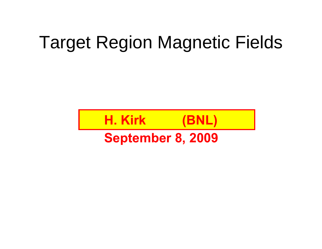# Target Region Magnetic Fields

# **H. Kirk (BNL)**

#### **September 8, 2009**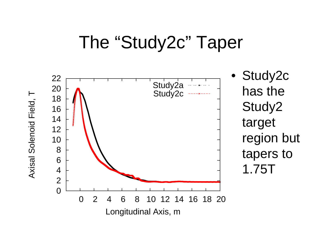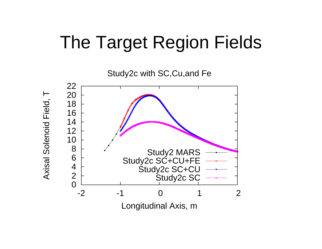## The Target Region Fields

Study2c with SC,Cu,and Fe



Axisal Solenoid Field, T Axisal Solenoid Field, T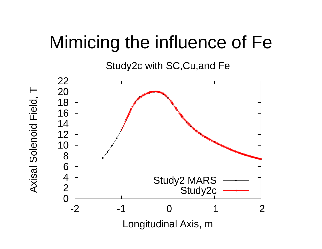### Mimicing the influence of Fe

Study2c with SC,Cu,and Fe



Axisal Solenoid Field, T Axisal Solenoid Field, T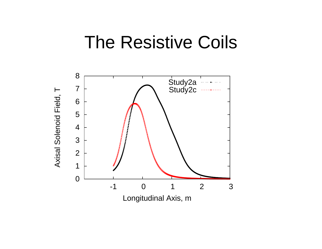#### The Resistive Coils

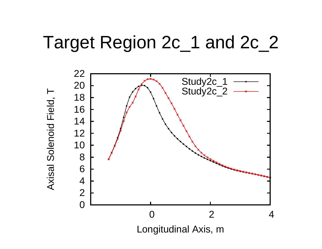### Target Region 2c\_1 and 2c\_2